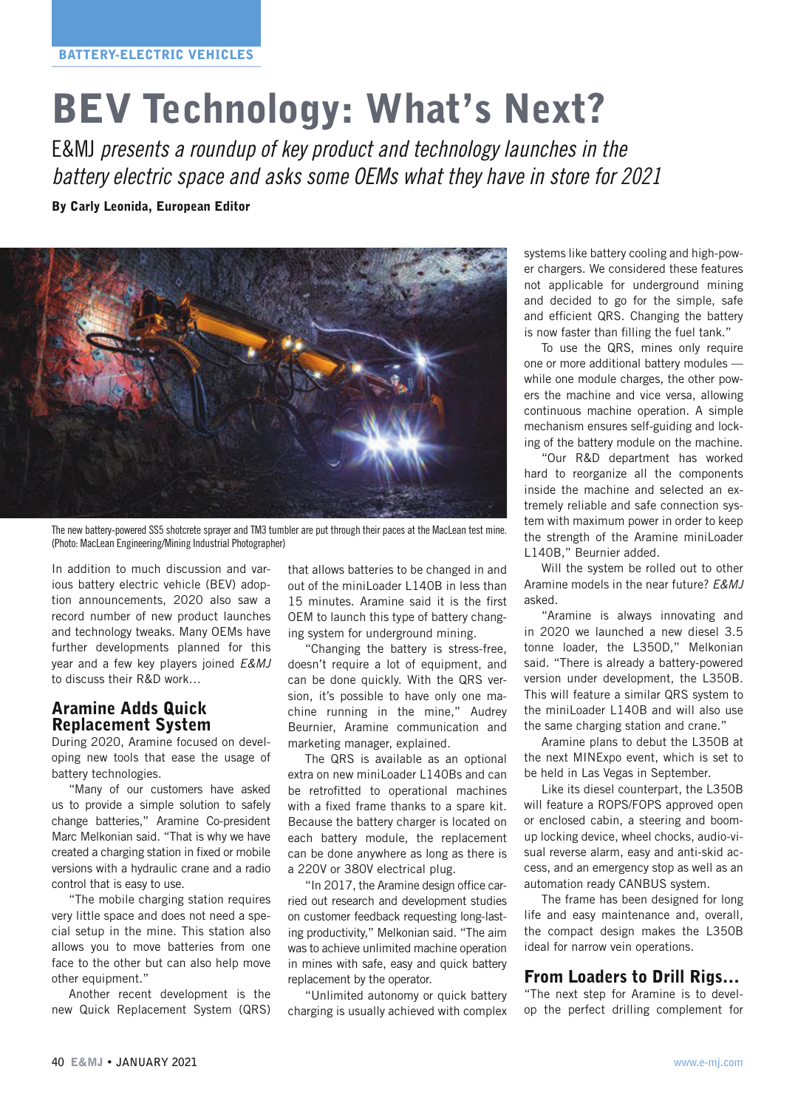# BEV Technology: What's Next?

E&MJ *presents a roundup of key product and technology launches in the battery electric space and asks some OEMs what they have in store for 2021*

By Carly Leonida, European Editor



The new battery-powered SS5 shotcrete sprayer and TM3 tumbler are put through their paces at the MacLean test mine. (Photo: MacLean Engineering/Mining Industrial Photographer)

In addition to much discussion and various battery electric vehicle (BEV) adoption announcements, 2020 also saw a record number of new product launches and technology tweaks. Many OEMs have further developments planned for this year and a few key players joined *E&MJ* to discuss their R&D work…

# Aramine Adds Quick Replacement System

During 2020, Aramine focused on developing new tools that ease the usage of battery technologies.

"Many of our customers have asked us to provide a simple solution to safely change batteries," Aramine Co-president Marc Melkonian said. "That is why we have created a charging station in fixed or mobile versions with a hydraulic crane and a radio control that is easy to use.

"The mobile charging station requires very little space and does not need a special setup in the mine. This station also allows you to move batteries from one face to the other but can also help move other equipment."

Another recent development is the new Quick Replacement System (QRS)

that allows batteries to be changed in and out of the minil oader L140B in less than 15 minutes. Aramine said it is the first OEM to launch this type of battery changing system for underground mining.

"Changing the battery is stress-free, doesn't require a lot of equipment, and can be done quickly. With the QRS version, it's possible to have only one machine running in the mine," Audrey Beurnier, Aramine communication and marketing manager, explained.

The QRS is available as an optional extra on new minil oader L140Bs and can be retrofitted to operational machines with a fixed frame thanks to a spare kit. Because the battery charger is located on each battery module, the replacement can be done anywhere as long as there is a 220V or 380V electrical plug.

"In 2017, the Aramine design office carried out research and development studies on customer feedback requesting long-lasting productivity," Melkonian said. "The aim was to achieve unlimited machine operation in mines with safe, easy and quick battery replacement by the operator.

"Unlimited autonomy or quick battery charging is usually achieved with complex systems like battery cooling and high-power chargers. We considered these features not applicable for underground mining and decided to go for the simple, safe and efficient QRS. Changing the battery is now faster than filling the fuel tank."

To use the QRS, mines only require one or more additional battery modules while one module charges, the other powers the machine and vice versa, allowing continuous machine operation. A simple mechanism ensures self-guiding and locking of the battery module on the machine.

"Our R&D department has worked hard to reorganize all the components inside the machine and selected an extremely reliable and safe connection system with maximum power in order to keep the strength of the Aramine miniLoader L140B," Beurnier added.

Will the system be rolled out to other Aramine models in the near future? *E&MJ* asked.

"Aramine is always innovating and in 2020 we launched a new diesel 3.5 tonne loader, the L350D," Melkonian said. "There is already a battery-powered version under development, the L350B. This will feature a similar QRS system to the miniLoader L140B and will also use the same charging station and crane."

Aramine plans to debut the L350B at the next MINExpo event, which is set to be held in Las Vegas in September.

Like its diesel counterpart, the L350B will feature a ROPS/FOPS approved open or enclosed cabin, a steering and boomup locking device, wheel chocks, audio-visual reverse alarm, easy and anti-skid access, and an emergency stop as well as an automation ready CANBUS system.

The frame has been designed for long life and easy maintenance and, overall, the compact design makes the L350B ideal for narrow vein operations.

# From Loaders to Drill Rigs…

"The next step for Aramine is to develop the perfect drilling complement for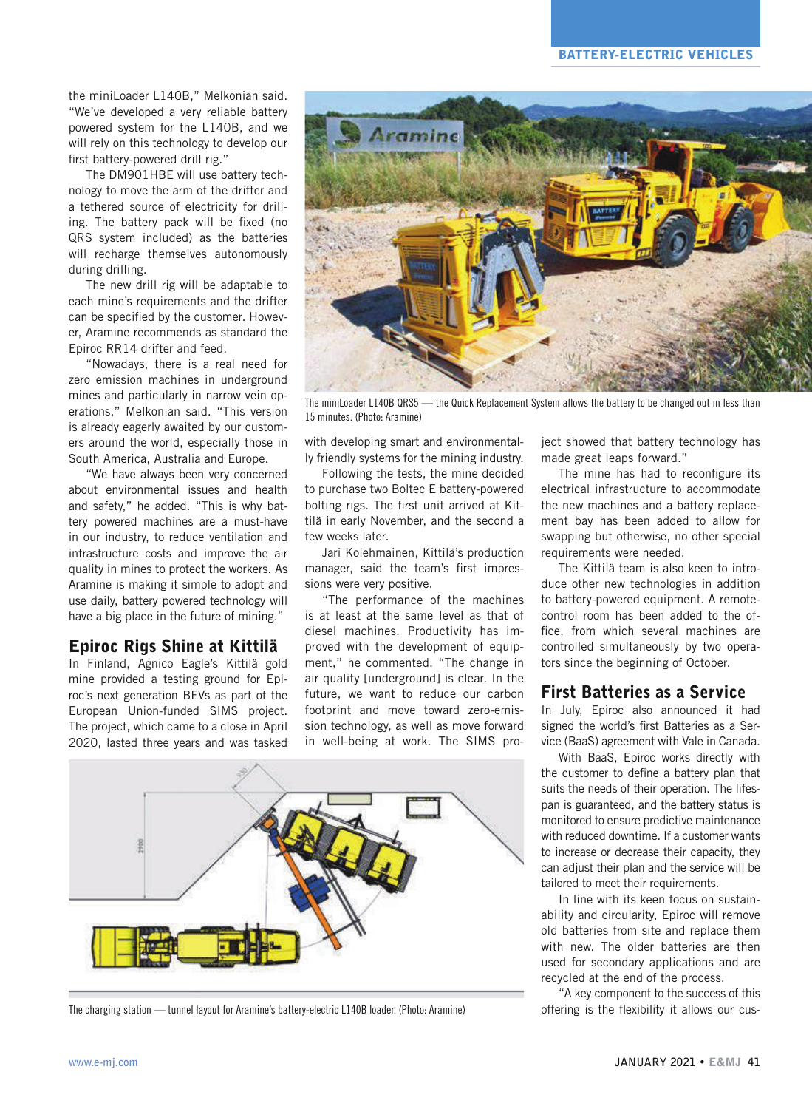the miniLoader L140B," Melkonian said. "We've developed a very reliable battery powered system for the L140B, and we will rely on this technology to develop our first battery-powered drill rig."

The DM901HBE will use battery technology to move the arm of the drifter and a tethered source of electricity for drilling. The battery pack will be fixed (no QRS system included) as the batteries will recharge themselves autonomously during drilling.

The new drill rig will be adaptable to each mine's requirements and the drifter can be specified by the customer. However, Aramine recommends as standard the Epiroc RR14 drifter and feed.

"Nowadays, there is a real need for zero emission machines in underground mines and particularly in narrow vein operations," Melkonian said. "This version is already eagerly awaited by our customers around the world, especially those in South America, Australia and Europe.

"We have always been very concerned about environmental issues and health and safety," he added. "This is why battery powered machines are a must-have in our industry, to reduce ventilation and infrastructure costs and improve the air quality in mines to protect the workers. As Aramine is making it simple to adopt and use daily, battery powered technology will have a big place in the future of mining."

# Epiroc Rigs Shine at Kittilä

In Finland, Agnico Eagle's Kittilä gold mine provided a testing ground for Epiroc's next generation BEVs as part of the European Union-funded SIMS project. The project, which came to a close in April 2020, lasted three years and was tasked



The miniLoader L140B QRS5 — the Quick Replacement System allows the battery to be changed out in less than 15 minutes. (Photo: Aramine)

with developing smart and environmentally friendly systems for the mining industry.

Following the tests, the mine decided to purchase two Boltec E battery-powered bolting rigs. The first unit arrived at Kittilä in early November, and the second a few weeks later.

Jari Kolehmainen, Kittilä's production manager, said the team's first impressions were very positive.

"The performance of the machines is at least at the same level as that of diesel machines. Productivity has improved with the development of equipment," he commented. "The change in air quality [underground] is clear. In the future, we want to reduce our carbon footprint and move toward zero-emission technology, as well as move forward in well-being at work. The SIMS pro-



The charging station — tunnel layout for Aramine's battery-electric L140B loader. (Photo: Aramine)

ject showed that battery technology has made great leaps forward."

The mine has had to reconfigure its electrical infrastructure to accommodate the new machines and a battery replacement bay has been added to allow for swapping but otherwise, no other special requirements were needed.

The Kittilä team is also keen to introduce other new technologies in addition to battery-powered equipment. A remotecontrol room has been added to the office, from which several machines are controlled simultaneously by two operators since the beginning of October.

#### First Batteries as a Service

In July, Epiroc also announced it had signed the world's first Batteries as a Service (BaaS) agreement with Vale in Canada.

 With BaaS, Epiroc works directly with the customer to define a battery plan that suits the needs of their operation. The lifespan is guaranteed, and the battery status is monitored to ensure predictive maintenance with reduced downtime. If a customer wants to increase or decrease their capacity, they can adjust their plan and the service will be tailored to meet their requirements.

 In line with its keen focus on sustainability and circularity, Epiroc will remove old batteries from site and replace them with new. The older batteries are then used for secondary applications and are recycled at the end of the process.

"A key component to the success of this offering is the flexibility it allows our cus-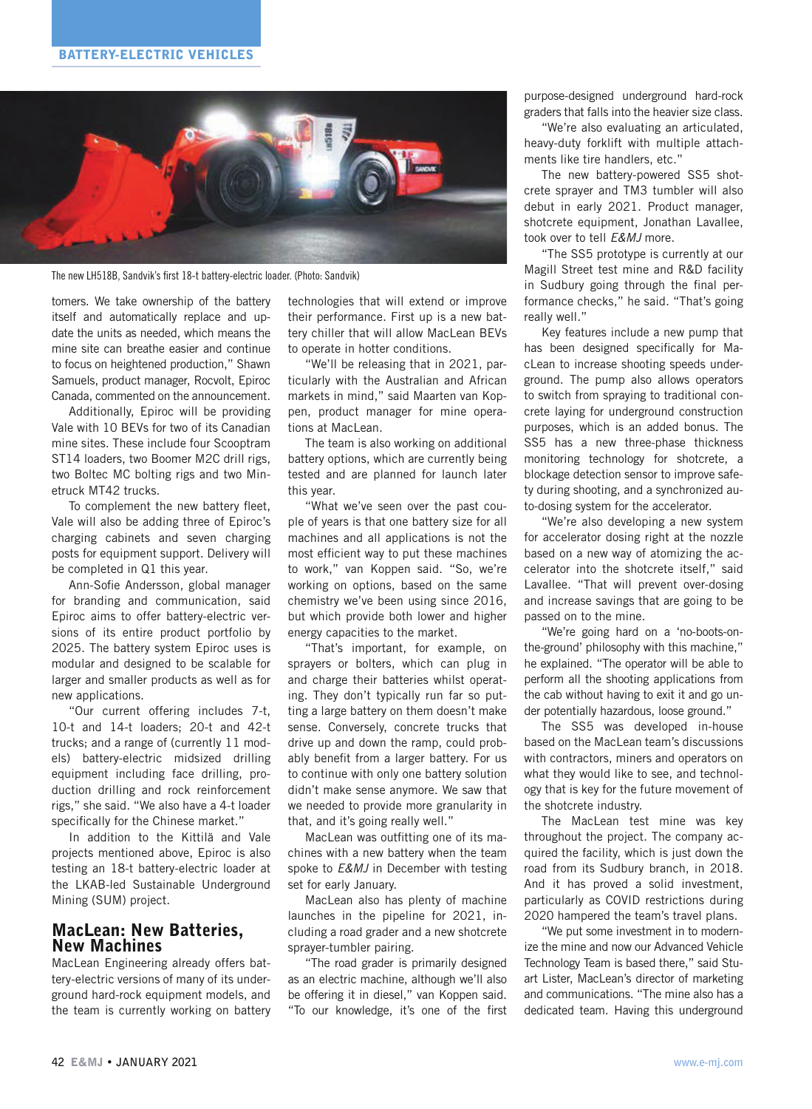

The new LH518B, Sandvik's first 18-t battery-electric loader. (Photo: Sandvik)

tomers. We take ownership of the battery itself and automatically replace and update the units as needed, which means the mine site can breathe easier and continue to focus on heightened production," Shawn Samuels, product manager, Rocvolt, Epiroc Canada, commented on the announcement.

Additionally, Epiroc will be providing Vale with 10 BEVs for two of its Canadian mine sites. These include four Scooptram ST14 loaders, two Boomer M2C drill rigs, two Boltec MC bolting rigs and two Minetruck MT42 trucks.

To complement the new battery fleet, Vale will also be adding three of Epiroc's charging cabinets and seven charging posts for equipment support. Delivery will be completed in Q1 this year.

Ann-Sofie Andersson, global manager for branding and communication, said Epiroc aims to offer battery-electric versions of its entire product portfolio by 2025. The battery system Epiroc uses is modular and designed to be scalable for larger and smaller products as well as for new applications.

"Our current offering includes 7-t, 10-t and 14-t loaders; 20-t and 42-t trucks; and a range of (currently 11 models) battery-electric midsized drilling equipment including face drilling, production drilling and rock reinforcement rigs," she said. "We also have a 4-t loader specifically for the Chinese market."

In addition to the Kittilä and Vale projects mentioned above, Epiroc is also testing an 18-t battery-electric loader at the LKAB-led Sustainable Underground Mining (SUM) project.

#### MacLean: New Batteries, New Machines

MacLean Engineering already offers battery-electric versions of many of its underground hard-rock equipment models, and the team is currently working on battery technologies that will extend or improve their performance. First up is a new battery chiller that will allow MacLean BEVs to operate in hotter conditions.

"We'll be releasing that in 2021, particularly with the Australian and African markets in mind," said Maarten van Koppen, product manager for mine operations at MacLean.

The team is also working on additional battery options, which are currently being tested and are planned for launch later this year.

"What we've seen over the past couple of years is that one battery size for all machines and all applications is not the most efficient way to put these machines to work," van Koppen said. "So, we're working on options, based on the same chemistry we've been using since 2016, but which provide both lower and higher energy capacities to the market.

"That's important, for example, on sprayers or bolters, which can plug in and charge their batteries whilst operating. They don't typically run far so putting a large battery on them doesn't make sense. Conversely, concrete trucks that drive up and down the ramp, could probably benefit from a larger battery. For us to continue with only one battery solution didn't make sense anymore. We saw that we needed to provide more granularity in that, and it's going really well."

MacLean was outfitting one of its machines with a new battery when the team spoke to *E&MJ* in December with testing set for early January.

MacLean also has plenty of machine launches in the pipeline for 2021, including a road grader and a new shotcrete sprayer-tumbler pairing.

"The road grader is primarily designed as an electric machine, although we'll also be offering it in diesel," van Koppen said. "To our knowledge, it's one of the first

purpose-designed underground hard-rock graders that falls into the heavier size class.

"We're also evaluating an articulated, heavy-duty forklift with multiple attachments like tire handlers, etc."

The new battery-powered SS5 shotcrete sprayer and TM3 tumbler will also debut in early 2021. Product manager, shotcrete equipment, Jonathan Lavallee, took over to tell *E&MJ* more.

"The SS5 prototype is currently at our Magill Street test mine and R&D facility in Sudbury going through the final performance checks," he said. "That's going really well."

Key features include a new pump that has been designed specifically for MacLean to increase shooting speeds underground. The pump also allows operators to switch from spraying to traditional concrete laying for underground construction purposes, which is an added bonus. The SS5 has a new three-phase thickness monitoring technology for shotcrete, a blockage detection sensor to improve safety during shooting, and a synchronized auto-dosing system for the accelerator.

"We're also developing a new system for accelerator dosing right at the nozzle based on a new way of atomizing the accelerator into the shotcrete itself," said Lavallee. "That will prevent over-dosing and increase savings that are going to be passed on to the mine.

"We're going hard on a 'no-boots-onthe-ground' philosophy with this machine," he explained. "The operator will be able to perform all the shooting applications from the cab without having to exit it and go under potentially hazardous, loose ground."

The SS5 was developed in-house based on the MacLean team's discussions with contractors, miners and operators on what they would like to see, and technology that is key for the future movement of the shotcrete industry.

The MacLean test mine was key throughout the project. The company acquired the facility, which is just down the road from its Sudbury branch, in 2018. And it has proved a solid investment, particularly as COVID restrictions during 2020 hampered the team's travel plans.

"We put some investment in to modernize the mine and now our Advanced Vehicle Technology Team is based there," said Stuart Lister, MacLean's director of marketing and communications. "The mine also has a dedicated team. Having this underground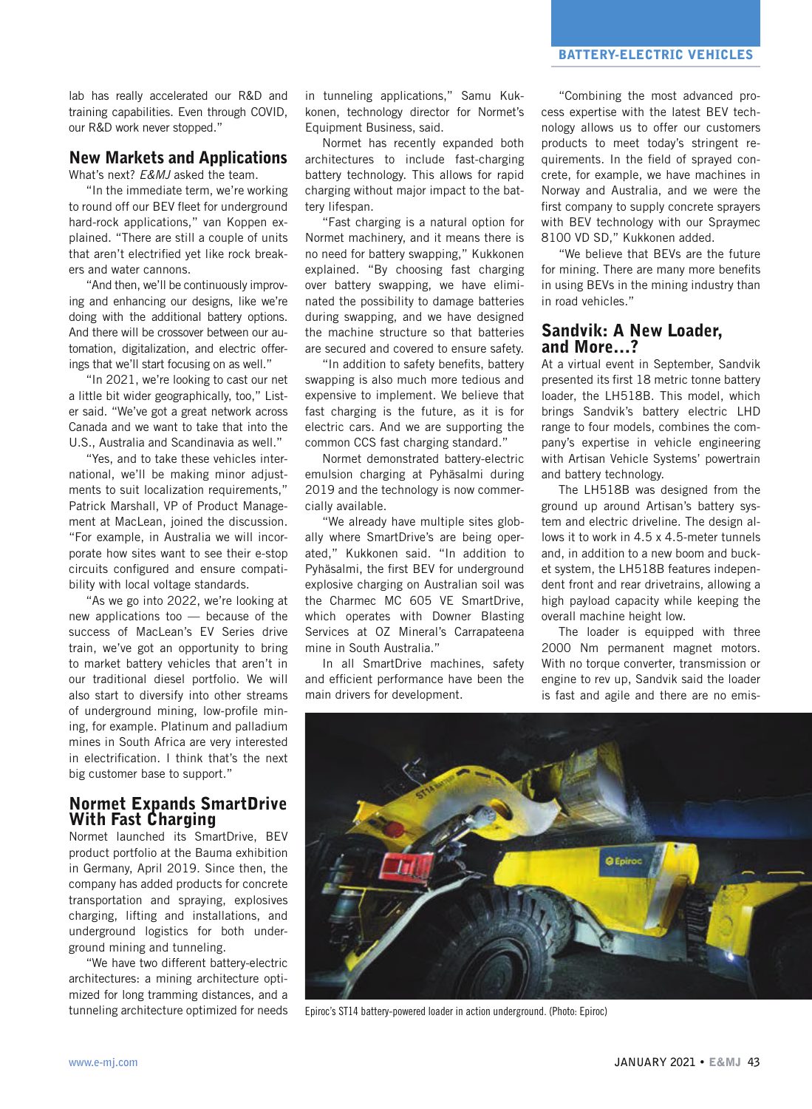lab has really accelerated our R&D and training capabilities. Even through COVID, our R&D work never stopped."

#### New Markets and Applications

What's next? *E&MJ* asked the team.

"In the immediate term, we're working to round off our BEV fleet for underground hard-rock applications," van Koppen explained. "There are still a couple of units that aren't electrified yet like rock breakers and water cannons.

"And then, we'll be continuously improving and enhancing our designs, like we're doing with the additional battery options. And there will be crossover between our automation, digitalization, and electric offerings that we'll start focusing on as well."

"In 2021, we're looking to cast our net a little bit wider geographically, too," Lister said. "We've got a great network across Canada and we want to take that into the U.S., Australia and Scandinavia as well."

"Yes, and to take these vehicles international, we'll be making minor adjustments to suit localization requirements," Patrick Marshall, VP of Product Management at MacLean, joined the discussion. "For example, in Australia we will incorporate how sites want to see their e-stop circuits configured and ensure compatibility with local voltage standards.

"As we go into 2022, we're looking at new applications too — because of the success of MacLean's EV Series drive train, we've got an opportunity to bring to market battery vehicles that aren't in our traditional diesel portfolio. We will also start to diversify into other streams of underground mining, low-profile mining, for example. Platinum and palladium mines in South Africa are very interested in electrification. I think that's the next big customer base to support."

#### Normet Expands SmartDrive With Fast Charging

Normet launched its SmartDrive, BEV product portfolio at the Bauma exhibition in Germany, April 2019. Since then, the company has added products for concrete transportation and spraying, explosives charging, lifting and installations, and underground logistics for both underground mining and tunneling.

"We have two different battery-electric architectures: a mining architecture optimized for long tramming distances, and a tunneling architecture optimized for needs in tunneling applications," Samu Kukkonen, technology director for Normet's Equipment Business, said.

Normet has recently expanded both architectures to include fast-charging battery technology. This allows for rapid charging without major impact to the battery lifespan.

"Fast charging is a natural option for Normet machinery, and it means there is no need for battery swapping," Kukkonen explained. "By choosing fast charging over battery swapping, we have eliminated the possibility to damage batteries during swapping, and we have designed the machine structure so that batteries are secured and covered to ensure safety.

"In addition to safety benefits, battery swapping is also much more tedious and expensive to implement. We believe that fast charging is the future, as it is for electric cars. And we are supporting the common CCS fast charging standard."

Normet demonstrated battery-electric emulsion charging at Pyhäsalmi during 2019 and the technology is now commercially available.

"We already have multiple sites globally where SmartDrive's are being operated," Kukkonen said. "In addition to Pyhäsalmi, the first BEV for underground explosive charging on Australian soil was the Charmec MC 605 VE SmartDrive, which operates with Downer Blasting Services at OZ Mineral's Carrapateena mine in South Australia."

In all SmartDrive machines, safety and efficient performance have been the main drivers for development.

"Combining the most advanced process expertise with the latest BEV technology allows us to offer our customers products to meet today's stringent requirements. In the field of sprayed concrete, for example, we have machines in Norway and Australia, and we were the first company to supply concrete sprayers with BEV technology with our Spraymec 8100 VD SD," Kukkonen added.

"We believe that BEVs are the future for mining. There are many more benefits in using BEVs in the mining industry than in road vehicles."

## Sandvik: A New Loader, and More…?

At a virtual event in September, Sandvik presented its first 18 metric tonne battery loader, the LH518B. This model, which brings Sandvik's battery electric LHD range to four models, combines the company's expertise in vehicle engineering with Artisan Vehicle Systems' powertrain and battery technology.

The LH518B was designed from the ground up around Artisan's battery system and electric driveline. The design allows it to work in 4.5 x 4.5-meter tunnels and, in addition to a new boom and bucket system, the LH518B features independent front and rear drivetrains, allowing a high payload capacity while keeping the overall machine height low.

The loader is equipped with three 2000 Nm permanent magnet motors. With no torque converter, transmission or engine to rev up, Sandvik said the loader is fast and agile and there are no emis-



Epiroc's ST14 battery-powered loader in action underground. (Photo: Epiroc)